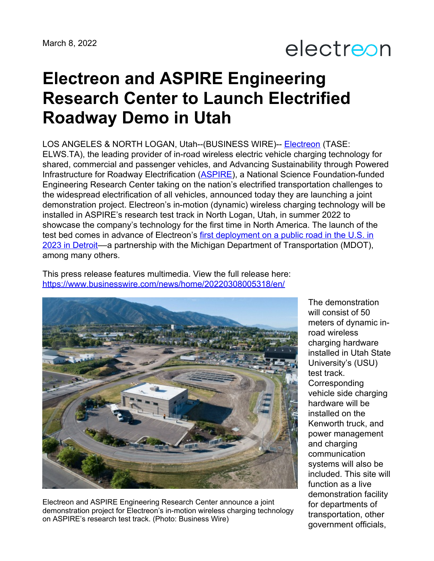## electreon

## **Electreon and ASPIRE Engineering Research Center to Launch Electrified Roadway Demo in Utah**

LOS ANGELES & NORTH LOGAN, Utah--(BUSINESS WIRE)-- [Electreon](http://www.electreon.com) (TASE: ELWS.TA), the leading provider of in-road wireless electric vehicle charging technology for shared, commercial and passenger vehicles, and Advancing Sustainability through Powered Infrastructure for Roadway Electrification ([ASPIRE\)](https://aspire.usu.edu/), a National Science Foundation-funded Engineering Research Center taking on the nation's electrified transportation challenges to the widespread electrification of all vehicles, announced today they are launching a joint demonstration project. Electreon's in-motion (dynamic) wireless charging technology will be installed in ASPIRE's research test track in North Logan, Utah, in summer 2022 to showcase the company's technology for the first time in North America. The launch of the test bed comes in advance of Electreon's first deployment on a public road in the U.S. in 2023 in Detroit—a partnership with the Michigan Department of [Transportation](https://www.businesswire.com/news/home/20220201005203/en/Electreon-Announces-First-Public-Electric-Road-System-for-Wireless-Electric-Vehicle-Charging-in-the-US) (MDOT), among many others.

This press release features multimedia. View the full release here: <https://www.businesswire.com/news/home/20220308005318/en/>



Electreon and ASPIRE Engineering Research Center announce a joint demonstration project for Electreon's in-motion wireless charging technology on ASPIRE's research test track. (Photo: Business Wire)

The demonstration will consist of 50 meters of dynamic inroad wireless charging hardware installed in Utah State University's (USU) test track. Corresponding vehicle side charging hardware will be installed on the Kenworth truck, and power management and charging communication systems will also be included. This site will function as a live demonstration facility for departments of transportation, other government officials,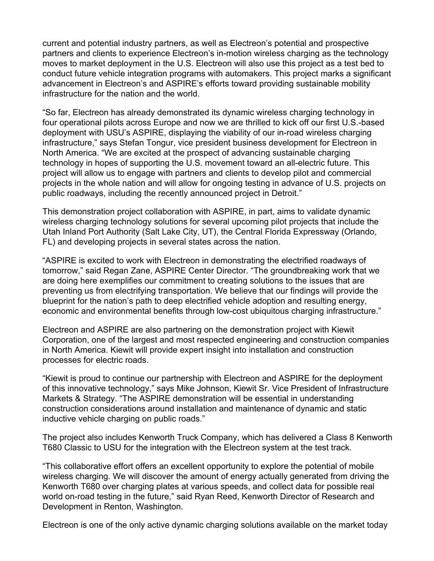current and potential industry partners, as well as Electreon's potential and prospective partners and clients to experience Electreon's in-motion wireless charging as the technology moves to market deployment in the U.S. Electreon will also use this project as a test bed to conduct future vehicle integration programs with automakers. This project marks a significant advancement in Electreon's and ASPIRE's efforts toward providing sustainable mobility infrastructure for the nation and the world.

"So far, Electreon has already demonstrated its dynamic wireless charging technology in four operational pilots across Europe and now we are thrilled to kick off our first U.S.-based deployment with USU's ASPIRE, displaying the viability of our in-road wireless charging infrastructure," says Stefan Tongur, vice president business development for Electreon in North America. "We are excited at the prospect of advancing sustainable charging technology in hopes of supporting the U.S. movement toward an all-electric future. This project will allow us to engage with partners and clients to develop pilot and commercial projects in the whole nation and will allow for ongoing testing in advance of U.S. projects on public roadways, including the recently announced project in Detroit."

This demonstration project collaboration with ASPIRE, in part, aims to validate dynamic wireless charging technology solutions for several upcoming pilot projects that include the Utah Inland Port Authority (Salt Lake City, UT), the Central Florida Expressway (Orlando, FL) and developing projects in several states across the nation.

"ASPIRE is excited to work with Electreon in demonstrating the electrified roadways of tomorrow," said Regan Zane, ASPIRE Center Director. "The groundbreaking work that we are doing here exemplifies our commitment to creating solutions to the issues that are preventing us from electrifying transportation. We believe that our findings will provide the blueprint for the nation's path to deep electrified vehicle adoption and resulting energy, economic and environmental benefits through low-cost ubiquitous charging infrastructure."

Electreon and ASPIRE are also partnering on the demonstration project with Kiewit Corporation, one of the largest and most respected engineering and construction companies in North America. Kiewit will provide expert insight into installation and construction processes for electric roads.

"Kiewit is proud to continue our partnership with Electreon and ASPIRE for the deployment of this innovative technology," says Mike Johnson, Kiewit Sr. Vice President of Infrastructure Markets & Strategy. "The ASPIRE demonstration will be essential in understanding construction considerations around installation and maintenance of dynamic and static inductive vehicle charging on public roads."

The project also includes Kenworth Truck Company, which has delivered a Class 8 Kenworth T680 Classic to USU for the integration with the Electreon system at the test track.

"This collaborative effort offers an excellent opportunity to explore the potential of mobile wireless charging. We will discover the amount of energy actually generated from driving the Kenworth T680 over charging plates at various speeds, and collect data for possible real world on-road testing in the future," said Ryan Reed, Kenworth Director of Research and Development in Renton, Washington.

Electreon is one of the only active dynamic charging solutions available on the market today